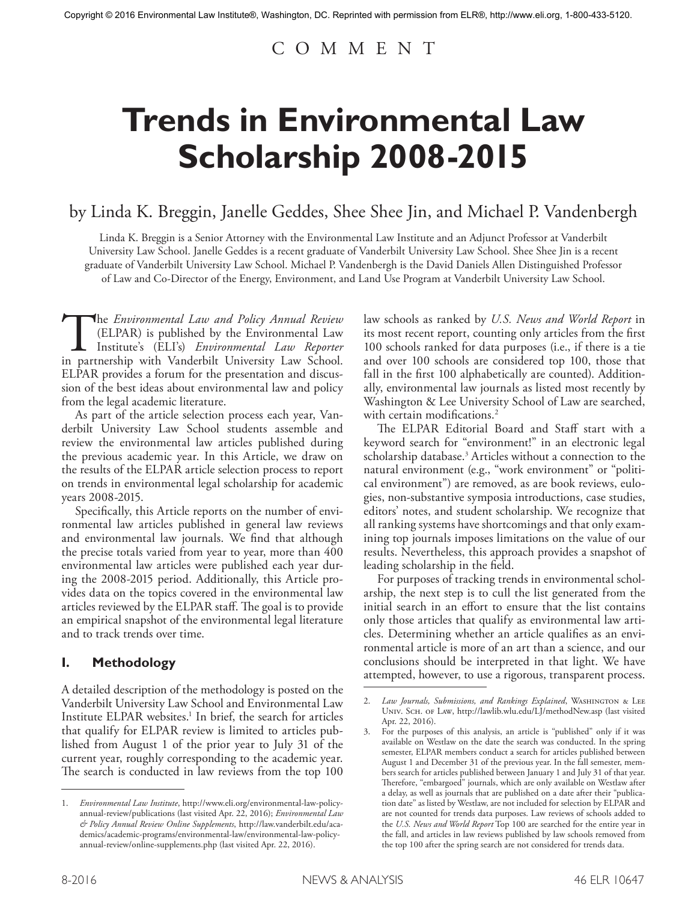# C O M M E N T

# **Trends in Environmental Law Scholarship 2008-2015**

# by Linda K. Breggin, Janelle Geddes, Shee Shee Jin, and Michael P. Vandenbergh

Linda K. Breggin is a Senior Attorney with the Environmental Law Institute and an Adjunct Professor at Vanderbilt University Law School. Janelle Geddes is a recent graduate of Vanderbilt University Law School. Shee Shee Jin is a recent graduate of Vanderbilt University Law School. Michael P. Vandenbergh is the David Daniels Allen Distinguished Professor of Law and Co-Director of the Energy, Environment, and Land Use Program at Vanderbilt University Law School.

The *Environmental Law and Policy Annual Review*<br>
(ELPAR) is published by the Environmental Law<br>
Institute's (ELI's) *Environmental Law Reporter*<br>
in partnership with Vanderbilt University Law School. (ELPAR) is published by the Environmental Law Institute's (ELI's) *Environmental Law Reporter*  ELPAR provides a forum for the presentation and discussion of the best ideas about environmental law and policy from the legal academic literature.

As part of the article selection process each year, Vanderbilt University Law School students assemble and review the environmental law articles published during the previous academic year. In this Article, we draw on the results of the ELPAR article selection process to report on trends in environmental legal scholarship for academic years 2008-2015.

Specifically, this Article reports on the number of environmental law articles published in general law reviews and environmental law journals. We find that although the precise totals varied from year to year, more than 400 environmental law articles were published each year during the 2008-2015 period. Additionally, this Article provides data on the topics covered in the environmental law articles reviewed by the ELPAR staff. The goal is to provide an empirical snapshot of the environmental legal literature and to track trends over time.

### **I. Methodology**

A detailed description of the methodology is posted on the Vanderbilt University Law School and Environmental Law Institute ELPAR websites.<sup>1</sup> In brief, the search for articles that qualify for ELPAR review is limited to articles published from August 1 of the prior year to July 31 of the current year, roughly corresponding to the academic year. The search is conducted in law reviews from the top 100

law schools as ranked by *U.S. News and World Report* in its most recent report, counting only articles from the first 100 schools ranked for data purposes (i.e., if there is a tie and over 100 schools are considered top 100, those that fall in the first 100 alphabetically are counted). Additionally, environmental law journals as listed most recently by Washington & Lee University School of Law are searched, with certain modifications.<sup>2</sup>

The ELPAR Editorial Board and Staff start with a keyword search for "environment!" in an electronic legal scholarship database.3 Articles without a connection to the natural environment (e.g., "work environment" or "political environment") are removed, as are book reviews, eulogies, non-substantive symposia introductions, case studies, editors' notes, and student scholarship. We recognize that all ranking systems have shortcomings and that only examining top journals imposes limitations on the value of our results. Nevertheless, this approach provides a snapshot of leading scholarship in the field.

For purposes of tracking trends in environmental scholarship, the next step is to cull the list generated from the initial search in an effort to ensure that the list contains only those articles that qualify as environmental law articles. Determining whether an article qualifies as an environmental article is more of an art than a science, and our conclusions should be interpreted in that light. We have attempted, however, to use a rigorous, transparent process.

<sup>1.</sup> *Environmental Law Institute*, http://www.eli.org/environmental-law-policyannual-review/publications (last visited Apr. 22, 2016); *Environmental Law & Policy Annual Review Online Supplements*, http://law.vanderbilt.edu/academics/academic-programs/environmental-law/environmental-law-policyannual-review/online-supplements.php (last visited Apr. 22, 2016).

<sup>2.</sup> *Law Journals, Submissions, and Rankings Explained*, WASHINGTON & LEE Univ. Sch. of Law, http://lawlib.wlu.edu/LJ/methodNew.asp (last visited Apr. 22, 2016).

<sup>3.</sup> For the purposes of this analysis, an article is "published" only if it was available on Westlaw on the date the search was conducted. In the spring semester, ELPAR members conduct a search for articles published between August 1 and December 31 of the previous year. In the fall semester, members search for articles published between January 1 and July 31 of that year. Therefore, "embargoed" journals, which are only available on Westlaw after a delay, as well as journals that are published on a date after their "publication date" as listed by Westlaw, are not included for selection by ELPAR and are not counted for trends data purposes. Law reviews of schools added to the *U.S. News and World Report* Top 100 are searched for the entire year in the fall, and articles in law reviews published by law schools removed from the top 100 after the spring search are not considered for trends data.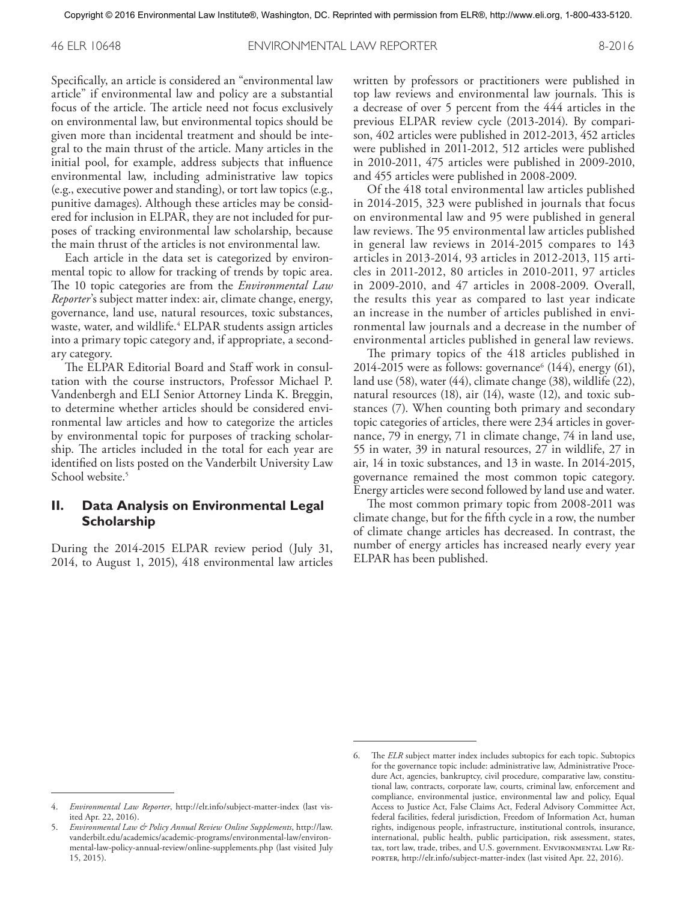46 ELR 10648 ENVIRONMENTAL LAW REPORTER 8-2016

Specifically, an article is considered an "environmental law article" if environmental law and policy are a substantial focus of the article. The article need not focus exclusively on environmental law, but environmental topics should be given more than incidental treatment and should be integral to the main thrust of the article. Many articles in the initial pool, for example, address subjects that influence environmental law, including administrative law topics (e.g., executive power and standing), or tort law topics (e.g., punitive damages). Although these articles may be considered for inclusion in ELPAR, they are not included for purposes of tracking environmental law scholarship, because the main thrust of the articles is not environmental law.

Each article in the data set is categorized by environmental topic to allow for tracking of trends by topic area. The 10 topic categories are from the *Environmental Law Reporter*'s subject matter index: air, climate change, energy, governance, land use, natural resources, toxic substances, waste, water, and wildlife.<sup>4</sup> ELPAR students assign articles into a primary topic category and, if appropriate, a secondary category.

The ELPAR Editorial Board and Staff work in consultation with the course instructors, Professor Michael P. Vandenbergh and ELI Senior Attorney Linda K. Breggin, to determine whether articles should be considered environmental law articles and how to categorize the articles by environmental topic for purposes of tracking scholarship. The articles included in the total for each year are identified on lists posted on the Vanderbilt University Law School website.<sup>5</sup>

#### **II. Data Analysis on Environmental Legal Scholarship**

During the 2014-2015 ELPAR review period (July 31, 2014, to August 1, 2015), 418 environmental law articles written by professors or practitioners were published in top law reviews and environmental law journals. This is a decrease of over 5 percent from the 444 articles in the previous ELPAR review cycle (2013-2014). By comparison, 402 articles were published in 2012-2013, 452 articles were published in 2011-2012, 512 articles were published in 2010-2011, 475 articles were published in 2009-2010, and 455 articles were published in 2008-2009.

Of the 418 total environmental law articles published in 2014-2015, 323 were published in journals that focus on environmental law and 95 were published in general law reviews. The 95 environmental law articles published in general law reviews in 2014-2015 compares to 143 articles in 2013-2014, 93 articles in 2012-2013, 115 articles in 2011-2012, 80 articles in 2010-2011, 97 articles in 2009-2010, and 47 articles in 2008-2009. Overall, the results this year as compared to last year indicate an increase in the number of articles published in environmental law journals and a decrease in the number of environmental articles published in general law reviews.

The primary topics of the 418 articles published in 2014-2015 were as follows: governance<sup>6</sup> (144), energy (61), land use (58), water (44), climate change (38), wildlife (22), natural resources (18), air (14), waste (12), and toxic substances (7). When counting both primary and secondary topic categories of articles, there were 234 articles in governance, 79 in energy, 71 in climate change, 74 in land use, 55 in water, 39 in natural resources, 27 in wildlife, 27 in air, 14 in toxic substances, and 13 in waste. In 2014-2015, governance remained the most common topic category. Energy articles were second followed by land use and water.

The most common primary topic from 2008-2011 was climate change, but for the fifth cycle in a row, the number of climate change articles has decreased. In contrast, the number of energy articles has increased nearly every year ELPAR has been published.

<sup>4.</sup> *Environmental Law Reporter*, http://elr.info/subject-matter-index (last visited Apr. 22, 2016).

<sup>5.</sup> *Environmental Law & Policy Annual Review Online Supplements*, http://law. vanderbilt.edu/academics/academic-programs/environmental-law/environmental-law-policy-annual-review/online-supplements.php (last visited July 15, 2015).

The *ELR* subject matter index includes subtopics for each topic. Subtopics for the governance topic include: administrative law, Administrative Procedure Act, agencies, bankruptcy, civil procedure, comparative law, constitutional law, contracts, corporate law, courts, criminal law, enforcement and compliance, environmental justice, environmental law and policy, Equal Access to Justice Act, False Claims Act, Federal Advisory Committee Act, federal facilities, federal jurisdiction, Freedom of Information Act, human rights, indigenous people, infrastructure, institutional controls, insurance, international, public health, public participation, risk assessment, states, tax, tort law, trade, tribes, and U.S. government. ENVIRONMENTAL LAW REporter, http://elr.info/subject-matter-index (last visited Apr. 22, 2016).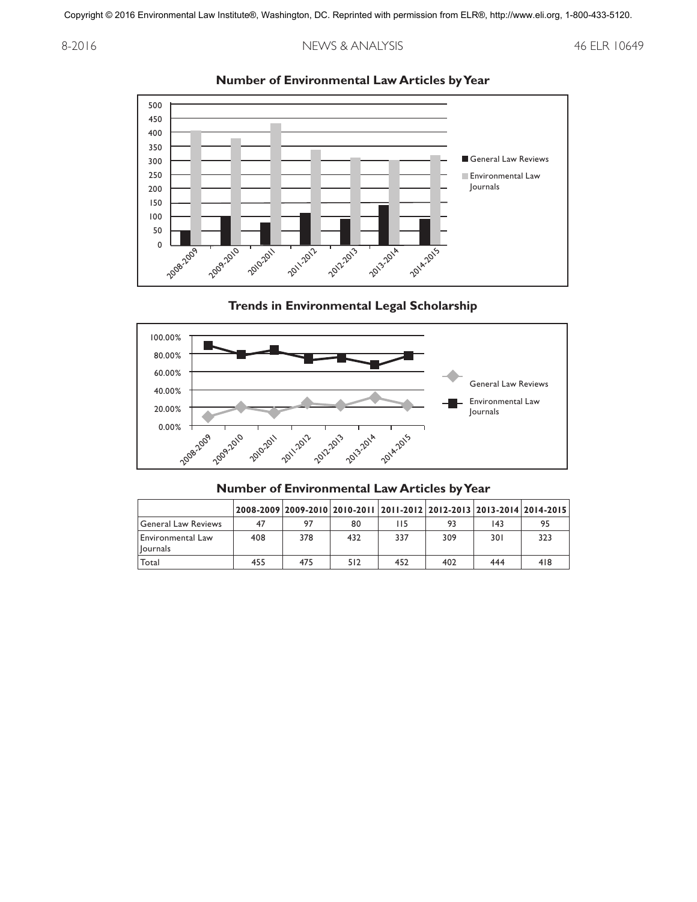#### 8-2016 10649



#### **Number of Environmental Law Articles by Year**

#### **Trends in Environmental Legal Scholarship**



#### **Number of Environmental Law Articles by Year**

|                                   |     | 2008-2009 2009-2010 2010-2011 2011-2012 2012-2013 2013-2014 2014-2015 |     |     |     |     |     |
|-----------------------------------|-----|-----------------------------------------------------------------------|-----|-----|-----|-----|-----|
| General Law Reviews               | 47  | 97                                                                    | 80  | 115 | 93  | 143 | 95  |
| Environmental Law<br>l Iournals I | 408 | 378                                                                   | 432 | 337 | 309 | 301 | 323 |
| Total                             | 455 | 475                                                                   | 512 | 452 | 402 | 444 | 418 |